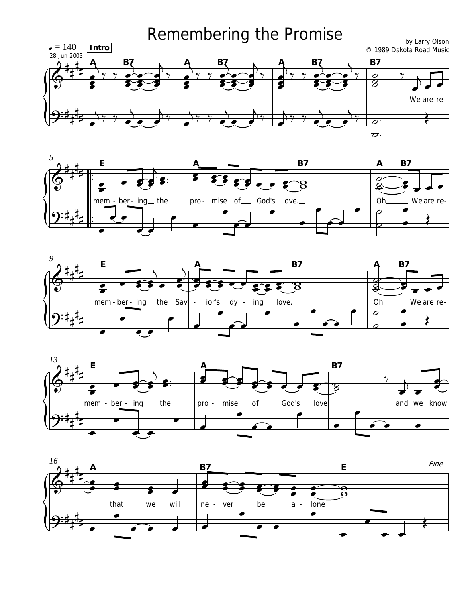